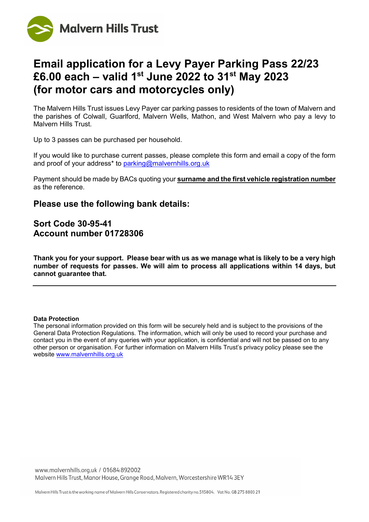

# **Email application for a Levy Payer Parking Pass 22/23 £6.00 each – valid 1st June 2022 to 31st May 2023 (for motor cars and motorcycles only)**

The Malvern Hills Trust issues Levy Payer car parking passes to residents of the town of Malvern and the parishes of Colwall, Guarlford, Malvern Wells, Mathon, and West Malvern who pay a levy to Malvern Hills Trust.

Up to 3 passes can be purchased per household.

If you would like to purchase current passes, please complete this form and email a copy of the form and proof of your address\* to [parking@malvernhills.org.uk](mailto:parking@malvernhills.org.uk)

Payment should be made by BACs quoting your **surname and the first vehicle registration number** as the reference.

### **Please use the following bank details:**

## **Sort Code 30-95-41 Account number 01728306**

**Thank you for your support. Please bear with us as we manage what is likely to be a very high number of requests for passes. We will aim to process all applications within 14 days, but cannot guarantee that.**

#### **Data Protection**

The personal information provided on this form will be securely held and is subject to the provisions of the General Data Protection Regulations. The information, which will only be used to record your purchase and contact you in the event of any queries with your application, is confidential and will not be passed on to any other person or organisation. For further information on Malvern Hills Trust's privacy policy please see the website [www.malvernhills.org.uk](http://www.malvernhills.org.uk/)